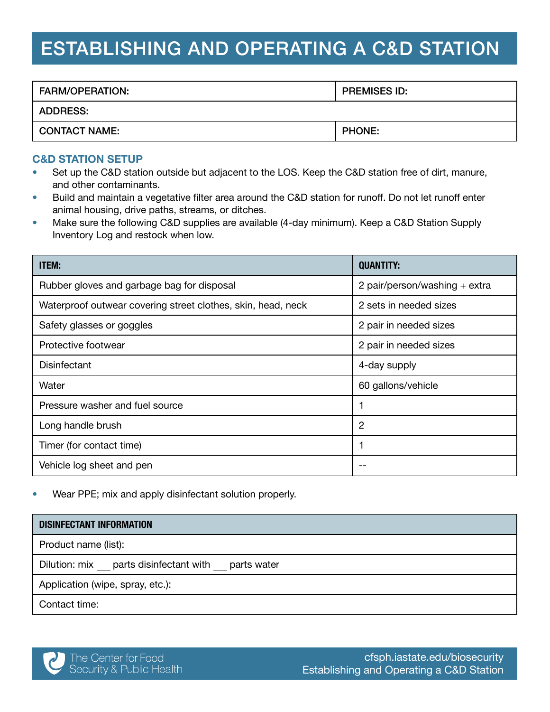# ESTABLISHING AND OPERATING A C&D STATION

| <b>FARM/OPERATION:</b> | <b>PREMISES ID:</b> |
|------------------------|---------------------|
| <b>ADDRESS:</b>        |                     |
| <b>CONTACT NAME:</b>   | <b>PHONE:</b>       |

#### C&D STATION SETUP

- Set up the C&D station outside but adjacent to the LOS. Keep the C&D station free of dirt, manure, and other contaminants.
- Build and maintain a vegetative filter area around the C&D station for runoff. Do not let runoff enter animal housing, drive paths, streams, or ditches.
- Make sure the following C&D supplies are available (4-day minimum). Keep a C&D Station Supply Inventory Log and restock when low.

| <b>ITEM:</b>                                                 | <b>QUANTITY:</b>              |
|--------------------------------------------------------------|-------------------------------|
| Rubber gloves and garbage bag for disposal                   | 2 pair/person/washing + extra |
| Waterproof outwear covering street clothes, skin, head, neck | 2 sets in needed sizes        |
| Safety glasses or goggles                                    | 2 pair in needed sizes        |
| Protective footwear                                          | 2 pair in needed sizes        |
| <b>Disinfectant</b>                                          | 4-day supply                  |
| Water                                                        | 60 gallons/vehicle            |
| Pressure washer and fuel source                              |                               |
| Long handle brush                                            | $\overline{2}$                |
| Timer (for contact time)                                     |                               |
| Vehicle log sheet and pen                                    |                               |

• Wear PPE; mix and apply disinfectant solution properly.

| <b>DISINFECTANT INFORMATION</b>                   |
|---------------------------------------------------|
| Product name (list):                              |
| Dilution: mix parts disinfectant with parts water |
| Application (wipe, spray, etc.):                  |
| Contact time:                                     |